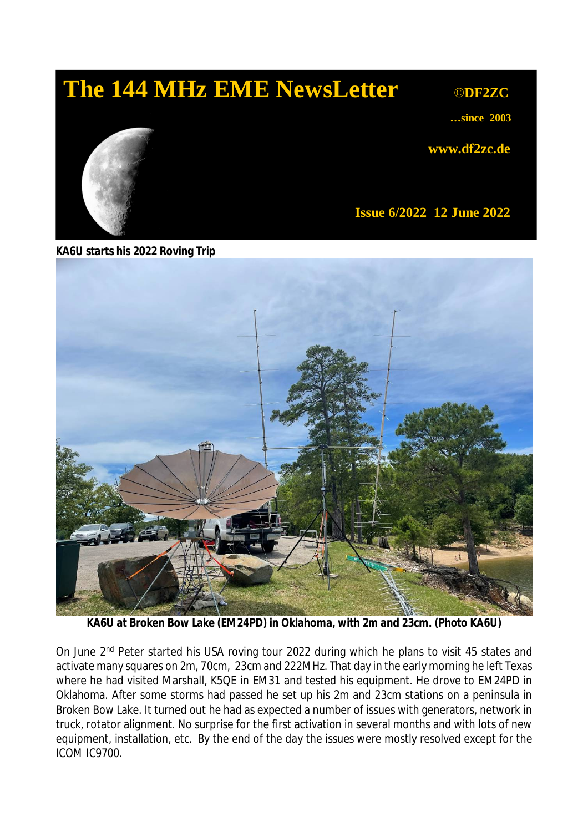# **The 144 MHz EME NewsLetter © © © ODF2ZC**

**…since 2003**

**www.df2zc.de**



**Issue 6/2022 12 June 2022**

**KA6U starts his 2022 Roving Trip**



**KA6U at Broken Bow Lake (EM24PD) in Oklahoma, with 2m and 23cm.** *(Photo KA6U)*

On June 2<sup>nd</sup> Peter started his USA roving tour 2022 during which he plans to visit 45 states and activate many squares on 2m, 70cm, 23cm and 222MHz. That day in the early morning he left Texas where he had visited Marshall, K5QE in EM31 and tested his equipment. He drove to EM24PD in Oklahoma. After some storms had passed he set up his 2m and 23cm stations on a peninsula in Broken Bow Lake. It turned out he had as expected a number of issues with generators, network in truck, rotator alignment. No surprise for the first activation in several months and with lots of new equipment, installation, etc. By the end of the day the issues were mostly resolved except for the ICOM IC9700.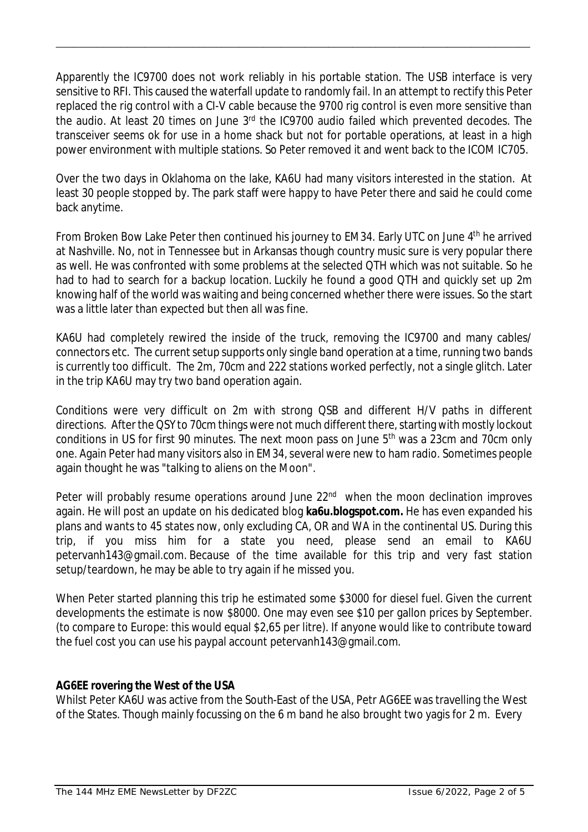Apparently the IC9700 does not work reliably in his portable station. The USB interface is very sensitive to RFI. This caused the waterfall update to randomly fail. In an attempt to rectify this Peter replaced the rig control with a CI-V cable because the 9700 rig control is even more sensitive than the audio. At least 20 times on June 3rd the IC9700 audio failed which prevented decodes. The transceiver seems ok for use in a home shack but not for portable operations, at least in a high power environment with multiple stations. So Peter removed it and went back to the ICOM IC705.

\_\_\_\_\_\_\_\_\_\_\_\_\_\_\_\_\_\_\_\_\_\_\_\_\_\_\_\_\_\_\_\_\_\_\_\_\_\_\_\_\_\_\_\_\_\_\_\_\_\_\_\_\_\_\_\_\_\_\_\_\_\_\_\_\_\_\_\_\_\_\_\_\_\_\_\_\_\_\_\_

Over the two days in Oklahoma on the lake, KA6U had many visitors interested in the station. At least 30 people stopped by. The park staff were happy to have Peter there and said he could come back anytime.

From Broken Bow Lake Peter then continued his journey to EM34. Early UTC on June 4th he arrived at Nashville. No, not in Tennessee but in Arkansas though country music sure is very popular there as well. He was confronted with some problems at the selected QTH which was not suitable. So he had to had to search for a backup location. Luckily he found a good QTH and quickly set up 2m knowing half of the world was waiting and being concerned whether there were issues. So the start was a little later than expected but then all was fine.

KA6U had completely rewired the inside of the truck, removing the IC9700 and many cables/ connectors etc. The current setup supports only single band operation at a time, running two bands is currently too difficult. The 2m, 70cm and 222 stations worked perfectly, not a single glitch. Later in the trip KA6U may try two band operation again.

Conditions were very difficult on 2m with strong QSB and different H/V paths in different directions. After the QSY to 70cm things were not much different there, starting with mostly lockout conditions in US for first 90 minutes. The next moon pass on June  $5<sup>th</sup>$  was a 23cm and 70cm only one. Again Peter had many visitors also in EM34, several were new to ham radio. Sometimes people again thought he was "talking to aliens on the Moon".

Peter will probably resume operations around June 22<sup>nd</sup> when the moon declination improves again. He will post an update on his dedicated blog **ka6u.blogspot.com.** He has even expanded his plans and wants to 45 states now, only excluding CA, OR and WA in the continental US. During this trip, if you miss him for a state you need, please send an email to KA6U petervanh143@gmail.com. Because of the time available for this trip and very fast station setup/teardown, he may be able to try again if he missed you.

When Peter started planning this trip he estimated some \$3000 for diesel fuel. Given the current developments the estimate is now \$8000. One may even see \$10 per gallon prices by September. (to compare to Europe: this would equal \$2,65 per litre). If anyone would like to contribute toward the fuel cost you can use his paypal account petervanh143@gmail.com.

### **AG6EE rovering the West of the USA**

Whilst Peter KA6U was active from the South-East of the USA, Petr AG6EE was travelling the West of the States. Though mainly focussing on the 6 m band he also brought two yagis for 2 m. Every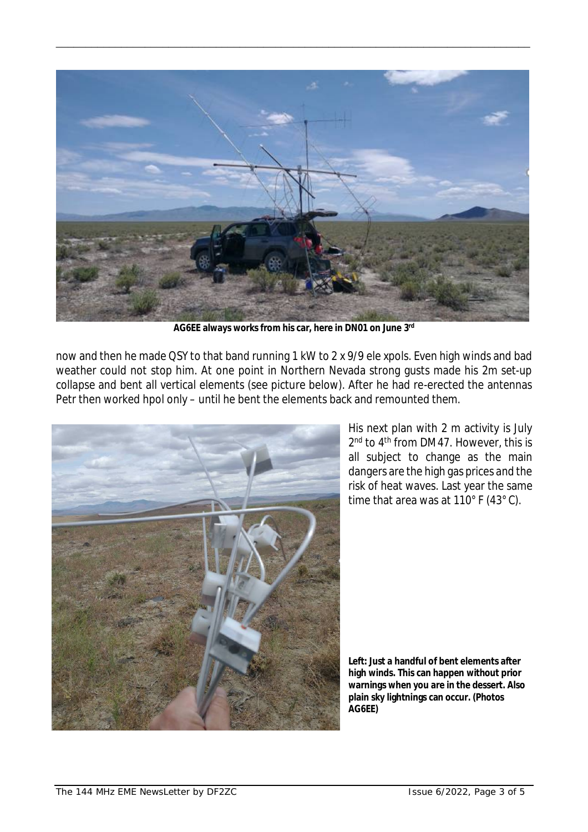

\_\_\_\_\_\_\_\_\_\_\_\_\_\_\_\_\_\_\_\_\_\_\_\_\_\_\_\_\_\_\_\_\_\_\_\_\_\_\_\_\_\_\_\_\_\_\_\_\_\_\_\_\_\_\_\_\_\_\_\_\_\_\_\_\_\_\_\_\_\_\_\_\_\_\_\_\_\_\_\_

**AG6EE always works from his car, here in DN01 on June 3rd**

now and then he made QSY to that band running 1 kW to 2 x 9/9 ele xpols. Even high winds and bad weather could not stop him. At one point in Northern Nevada strong gusts made his 2m set-up collapse and bent all vertical elements (see picture below). After he had re-erected the antennas Petr then worked hpol only – until he bent the elements back and remounted them.



His next plan with 2 m activity is July 2 nd to 4th from DM47. However, this is all subject to change as the main dangers are the high gas prices and the risk of heat waves. Last year the same time that area was at 110° F (43° C).

**Left: Just a handful of bent elements after high winds. This can happen without prior warnings when you are in the dessert. Also plain sky lightnings can occur.** *(Photos AG6EE)*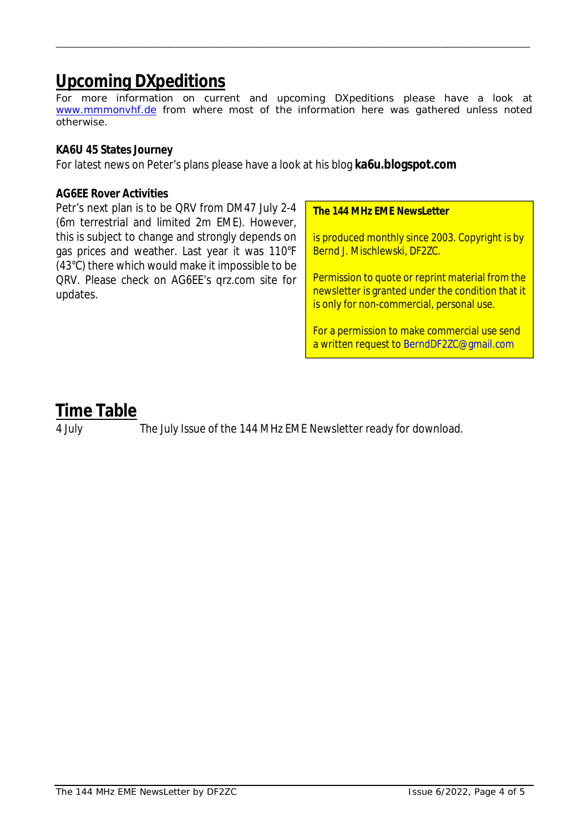## **Upcoming DXpeditions**

*For more information on current and upcoming DXpeditions please have a look at www.mmmonvhf.de from where most of the information here was gathered unless noted otherwise.*

\_\_\_\_\_\_\_\_\_\_\_\_\_\_\_\_\_\_\_\_\_\_\_\_\_\_\_\_\_\_\_\_\_\_\_\_\_\_\_\_\_\_\_\_\_\_\_\_\_\_\_\_\_\_\_\_\_\_\_\_\_\_\_\_\_\_\_\_\_\_\_\_\_\_\_\_\_\_\_\_

### **KA6U 45 States Journey**

For latest news on Peter's plans please have a look at his blog **ka6u.blogspot.com**

#### **AG6EE Rover Activities**

Petr's next plan is to be QRV from DM47 July 2-4 (6m terrestrial and limited 2m EME). However, this is subject to change and strongly depends on gas prices and weather. Last year it was 110°F (43°C) there which would make it impossible to be QRV. Please check on AG6EE's qrz.com site for updates.

#### **The 144 MHz EME NewsLetter**

is produced monthly since 2003. Copyright is by Bernd J. Mischlewski, DF2ZC.

Permission to quote or reprint material from the newsletter is granted under the condition that it is only for non-commercial, personal use.

For a permission to make commercial use send a written request to BerndDF2ZC@gmail.com

## **Time Table**

4 July The July Issue of the 144 MHz EME Newsletter ready for download.